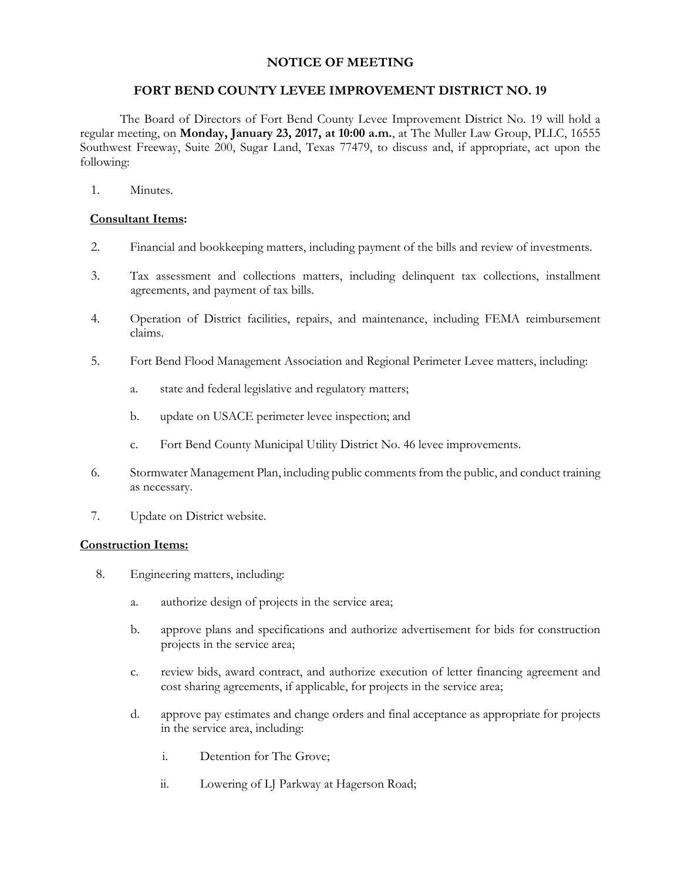## **NOTICE OF MEETING**

## **FORT BEND COUNTY LEVEE IMPROVEMENT DISTRICT NO. 19**

The Board of Directors of Fort Bend County Levee Improvement District No. 19 will hold a regular meeting, on **Monday, January 23, 2017, at 10:00 a.m.**, at The Muller Law Group, PLLC, 16555 Southwest Freeway, Suite 200, Sugar Land, Texas 77479, to discuss and, if appropriate, act upon the following:

1. Minutes.

## **Consultant Items:**

- 2. Financial and bookkeeping matters, including payment of the bills and review of investments.
- 3. Tax assessment and collections matters, including delinquent tax collections, installment agreements, and payment of tax bills.
- 4. Operation of District facilities, repairs, and maintenance, including FEMA reimbursement claims.
- 5. Fort Bend Flood Management Association and Regional Perimeter Levee matters, including:
	- a. state and federal legislative and regulatory matters;
	- b. update on USACE perimeter levee inspection; and
	- c. Fort Bend County Municipal Utility District No. 46 levee improvements.
- 6. Stormwater Management Plan, including public comments from the public, and conduct training as necessary.
- 7. Update on District website.

## **Construction Items:**

- 8. Engineering matters, including:
	- a. authorize design of projects in the service area;
	- b. approve plans and specifications and authorize advertisement for bids for construction projects in the service area;
	- c. review bids, award contract, and authorize execution of letter financing agreement and cost sharing agreements, if applicable, for projects in the service area;
	- d. approve pay estimates and change orders and final acceptance as appropriate for projects in the service area, including:
		- i. Detention for The Grove;
		- ii. Lowering of LJ Parkway at Hagerson Road;